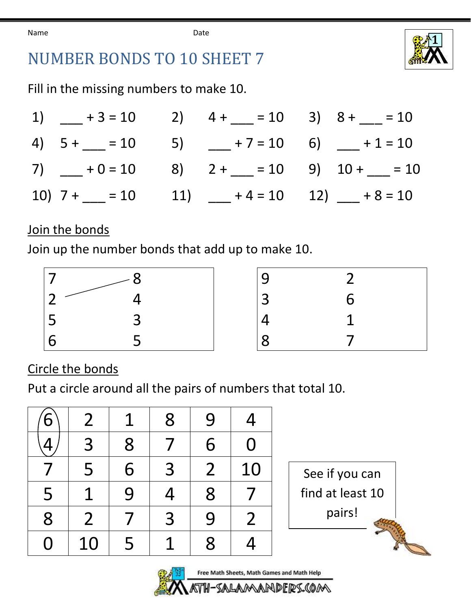Name **Date Date** 



## NUMBER BONDS TO 10 SHEET 7

Fill in the missing numbers to make 10.

| 1) $+3 = 10$ 2) $4 + (-2) = 10$ 3) $8 + (-2) = 10$ |  |                                                                                                                      |
|----------------------------------------------------|--|----------------------------------------------------------------------------------------------------------------------|
|                                                    |  | 4) $5 + \underline{\hspace{1cm}} = 10$ 5) $\underline{\hspace{1cm}} + 7 = 10$ 6) $\underline{\hspace{1cm}} + 1 = 10$ |
|                                                    |  | 7) $-$ + 0 = 10 8) 2 + $-$ = 10 9) 10 + $-$ = 10                                                                     |
|                                                    |  | 10) $7 +$ = 10 11) + 4 = 10 12) + 8 = 10                                                                             |

## Join the bonds

Join up the number bonds that add up to make 10.



| 9              | 2 |
|----------------|---|
| $\overline{3}$ | 6 |
| $\frac{4}{8}$  |   |
|                |   |

Circle the bonds

Put a circle around all the pairs of numbers that total 10.

| 6 | 2              | 1 | 8 | 9              | 4  |
|---|----------------|---|---|----------------|----|
|   | 3              | 8 |   | 6              | Ŋ  |
|   | 5              | 6 | 3 | $\overline{2}$ | 10 |
| 5 |                | 9 | 4 | 8              |    |
| 8 | $\overline{2}$ |   | 3 | 9              | 2  |
| 0 | 10             | 5 |   | 8              |    |





DERS.COM